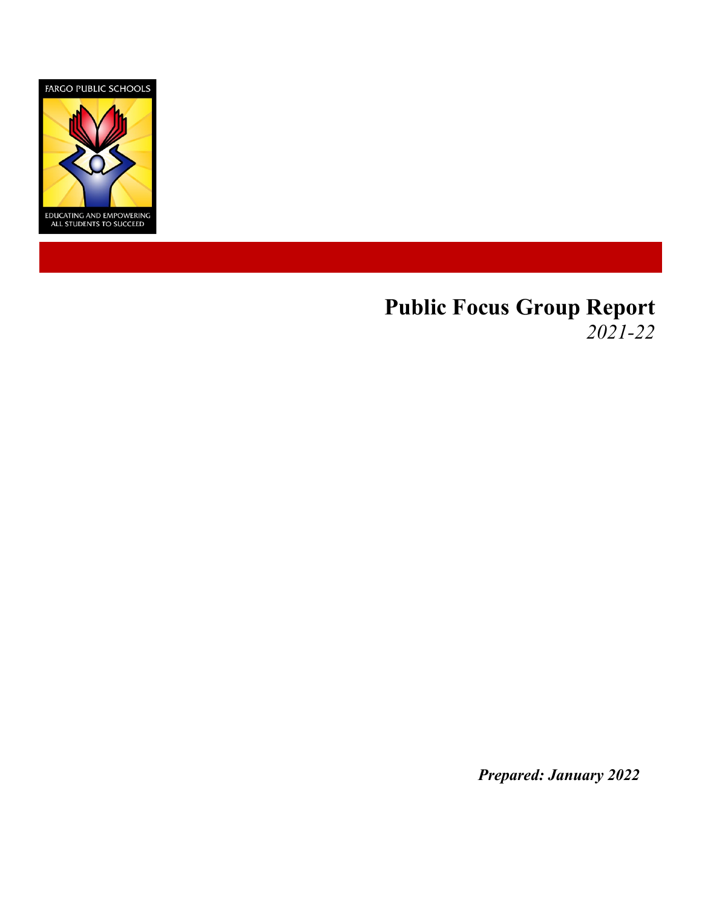

# **Public Focus Group Report** *2021-22*

*Prepared: January 2022*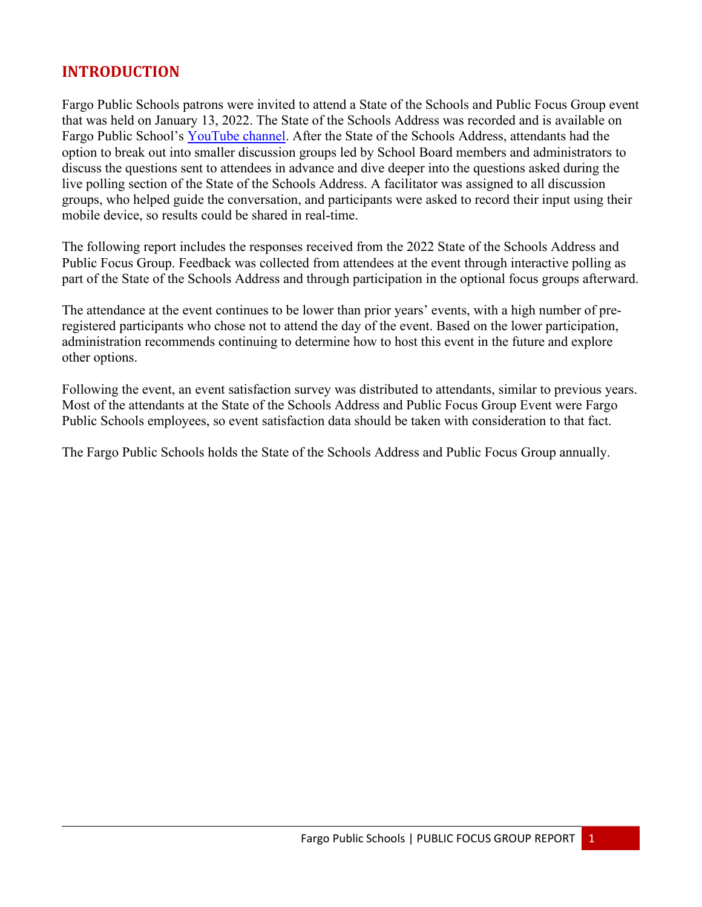# **INTRODUCTION**

Fargo Public Schools patrons were invited to attend a State of the Schools and Public Focus Group event that was held on January 13, 2022. The State of the Schools Address was recorded and is available on Fargo Public School's [YouTube channel.](https://www.youtube.com/watch?v=bGw6eXgShzc) After the State of the Schools Address, attendants had the option to break out into smaller discussion groups led by School Board members and administrators to discuss the questions sent to attendees in advance and dive deeper into the questions asked during the live polling section of the State of the Schools Address. A facilitator was assigned to all discussion groups, who helped guide the conversation, and participants were asked to record their input using their mobile device, so results could be shared in real-time.

The following report includes the responses received from the 2022 State of the Schools Address and Public Focus Group. Feedback was collected from attendees at the event through interactive polling as part of the State of the Schools Address and through participation in the optional focus groups afterward.

The attendance at the event continues to be lower than prior years' events, with a high number of preregistered participants who chose not to attend the day of the event. Based on the lower participation, administration recommends continuing to determine how to host this event in the future and explore other options.

Following the event, an event satisfaction survey was distributed to attendants, similar to previous years. Most of the attendants at the State of the Schools Address and Public Focus Group Event were Fargo Public Schools employees, so event satisfaction data should be taken with consideration to that fact.

The Fargo Public Schools holds the State of the Schools Address and Public Focus Group annually.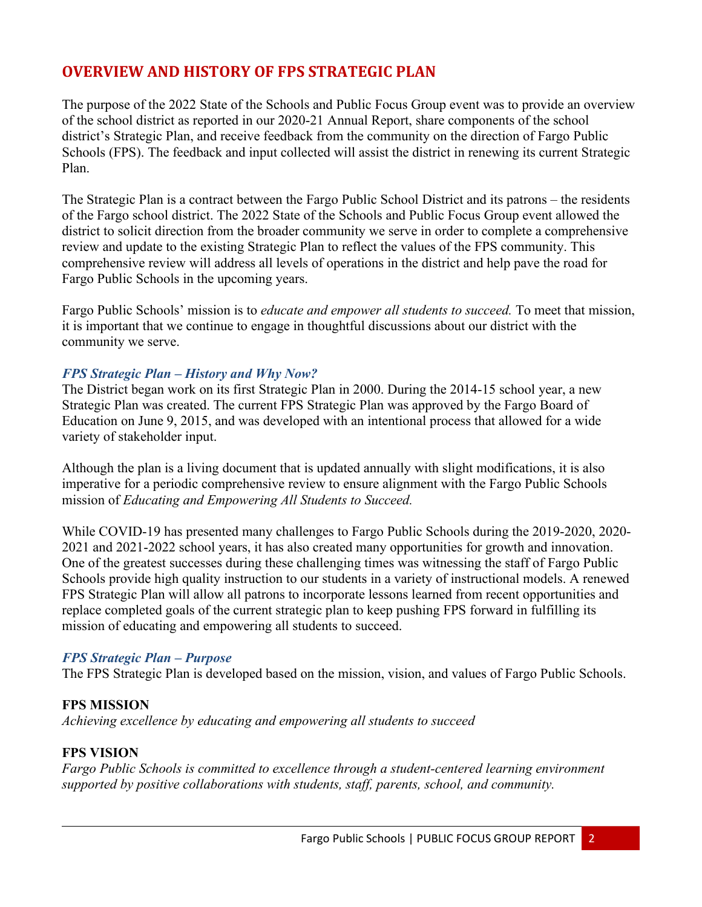# **OVERVIEW AND HISTORY OF FPS STRATEGIC PLAN**

The purpose of the 2022 State of the Schools and Public Focus Group event was to provide an overview of the school district as reported in our 2020-21 Annual Report, share components of the school district's Strategic Plan, and receive feedback from the community on the direction of Fargo Public Schools (FPS). The feedback and input collected will assist the district in renewing its current Strategic Plan.

The Strategic Plan is a contract between the Fargo Public School District and its patrons – the residents of the Fargo school district. The 2022 State of the Schools and Public Focus Group event allowed the district to solicit direction from the broader community we serve in order to complete a comprehensive review and update to the existing Strategic Plan to reflect the values of the FPS community. This comprehensive review will address all levels of operations in the district and help pave the road for Fargo Public Schools in the upcoming years.

Fargo Public Schools' mission is to *educate and empower all students to succeed.* To meet that mission, it is important that we continue to engage in thoughtful discussions about our district with the community we serve.

#### *FPS Strategic Plan – History and Why Now?*

The District began work on its first Strategic Plan in 2000. During the 2014-15 school year, a new Strategic Plan was created. The current FPS Strategic Plan was approved by the Fargo Board of Education on June 9, 2015, and was developed with an intentional process that allowed for a wide variety of stakeholder input.

Although the plan is a living document that is updated annually with slight modifications, it is also imperative for a periodic comprehensive review to ensure alignment with the Fargo Public Schools mission of *Educating and Empowering All Students to Succeed.*

While COVID-19 has presented many challenges to Fargo Public Schools during the 2019-2020, 2020- 2021 and 2021-2022 school years, it has also created many opportunities for growth and innovation. One of the greatest successes during these challenging times was witnessing the staff of Fargo Public Schools provide high quality instruction to our students in a variety of instructional models. A renewed FPS Strategic Plan will allow all patrons to incorporate lessons learned from recent opportunities and replace completed goals of the current strategic plan to keep pushing FPS forward in fulfilling its mission of educating and empowering all students to succeed.

#### *FPS Strategic Plan – Purpose*

The FPS Strategic Plan is developed based on the mission, vision, and values of Fargo Public Schools.

#### **FPS MISSION**

*Achieving excellence by educating and empowering all students to succeed*

#### **FPS VISION**

*Fargo Public Schools is committed to excellence through a student-centered learning environment supported by positive collaborations with students, staff, parents, school, and community.*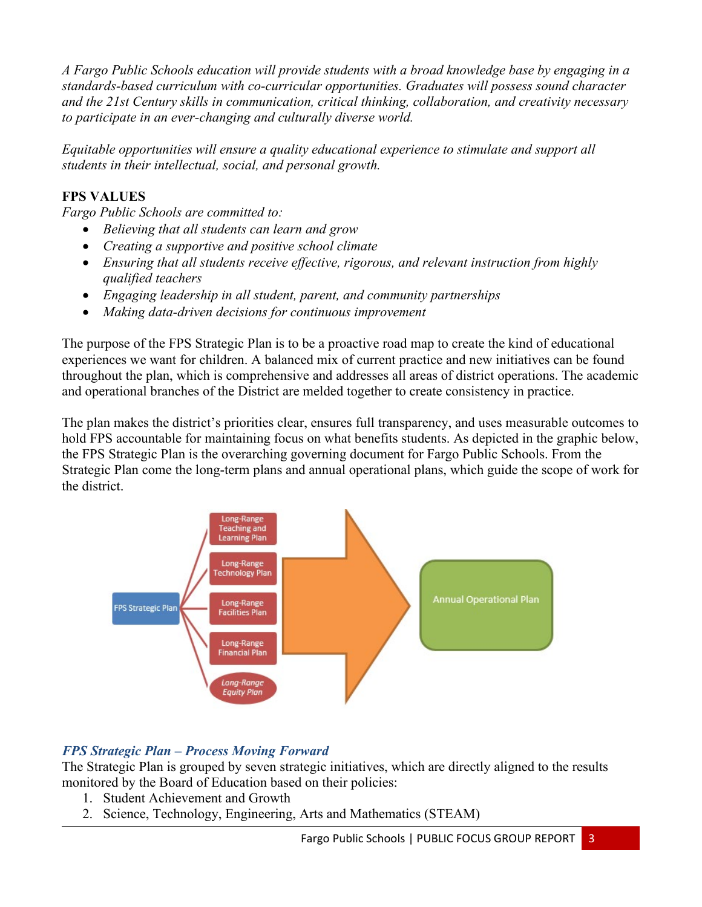*A Fargo Public Schools education will provide students with a broad knowledge base by engaging in a standards-based curriculum with co-curricular opportunities. Graduates will possess sound character and the 21st Century skills in communication, critical thinking, collaboration, and creativity necessary to participate in an ever-changing and culturally diverse world.*

*Equitable opportunities will ensure a quality educational experience to stimulate and support all students in their intellectual, social, and personal growth.*

#### **FPS VALUES**

*Fargo Public Schools are committed to:*

- *Believing that all students can learn and grow*
- *Creating a supportive and positive school climate*
- *Ensuring that all students receive effective, rigorous, and relevant instruction from highly qualified teachers*
- *Engaging leadership in all student, parent, and community partnerships*
- *Making data-driven decisions for continuous improvement*

The purpose of the FPS Strategic Plan is to be a proactive road map to create the kind of educational experiences we want for children. A balanced mix of current practice and new initiatives can be found throughout the plan, which is comprehensive and addresses all areas of district operations. The academic and operational branches of the District are melded together to create consistency in practice.

The plan makes the district's priorities clear, ensures full transparency, and uses measurable outcomes to hold FPS accountable for maintaining focus on what benefits students. As depicted in the graphic below, the FPS Strategic Plan is the overarching governing document for Fargo Public Schools. From the Strategic Plan come the long-term plans and annual operational plans, which guide the scope of work for the district.



# *FPS Strategic Plan – Process Moving Forward*

The Strategic Plan is grouped by seven strategic initiatives, which are directly aligned to the results monitored by the Board of Education based on their policies:

- 1. Student Achievement and Growth
- 2. Science, Technology, Engineering, Arts and Mathematics (STEAM)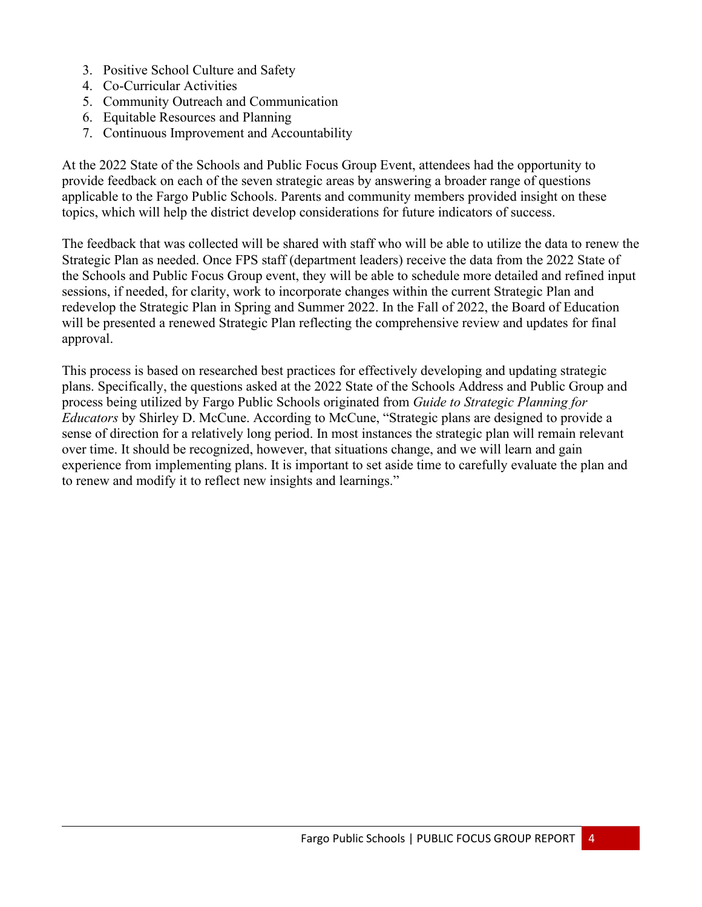- 3. Positive School Culture and Safety
- 4. Co-Curricular Activities
- 5. Community Outreach and Communication
- 6. Equitable Resources and Planning
- 7. Continuous Improvement and Accountability

At the 2022 State of the Schools and Public Focus Group Event, attendees had the opportunity to provide feedback on each of the seven strategic areas by answering a broader range of questions applicable to the Fargo Public Schools. Parents and community members provided insight on these topics, which will help the district develop considerations for future indicators of success.

The feedback that was collected will be shared with staff who will be able to utilize the data to renew the Strategic Plan as needed. Once FPS staff (department leaders) receive the data from the 2022 State of the Schools and Public Focus Group event, they will be able to schedule more detailed and refined input sessions, if needed, for clarity, work to incorporate changes within the current Strategic Plan and redevelop the Strategic Plan in Spring and Summer 2022. In the Fall of 2022, the Board of Education will be presented a renewed Strategic Plan reflecting the comprehensive review and updates for final approval.

This process is based on researched best practices for effectively developing and updating strategic plans. Specifically, the questions asked at the 2022 State of the Schools Address and Public Group and process being utilized by Fargo Public Schools originated from *Guide to Strategic Planning for Educators* by Shirley D. McCune. According to McCune, "Strategic plans are designed to provide a sense of direction for a relatively long period. In most instances the strategic plan will remain relevant over time. It should be recognized, however, that situations change, and we will learn and gain experience from implementing plans. It is important to set aside time to carefully evaluate the plan and to renew and modify it to reflect new insights and learnings."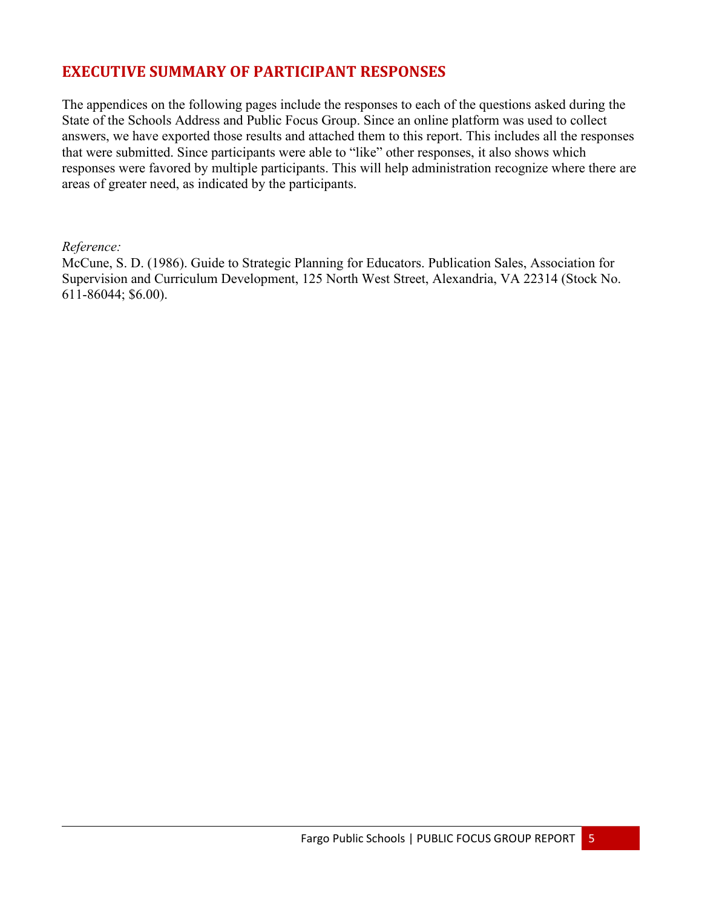# **EXECUTIVE SUMMARY OF PARTICIPANT RESPONSES**

The appendices on the following pages include the responses to each of the questions asked during the State of the Schools Address and Public Focus Group. Since an online platform was used to collect answers, we have exported those results and attached them to this report. This includes all the responses that were submitted. Since participants were able to "like" other responses, it also shows which responses were favored by multiple participants. This will help administration recognize where there are areas of greater need, as indicated by the participants.

#### *Reference:*

McCune, S. D. (1986). Guide to Strategic Planning for Educators. Publication Sales, Association for Supervision and Curriculum Development, 125 North West Street, Alexandria, VA 22314 (Stock No. 611-86044; \$6.00).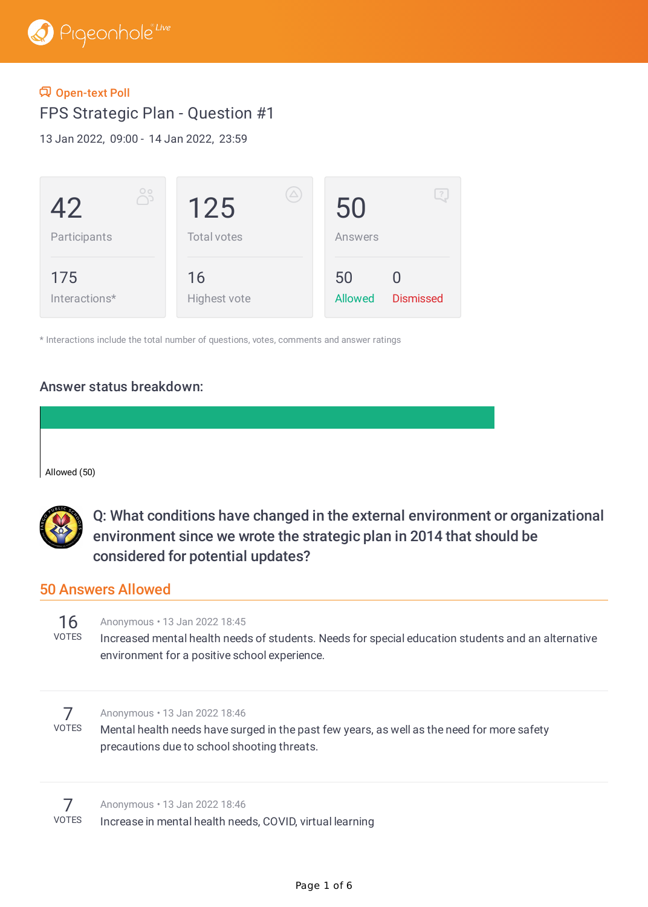#### Open-text Poll

FPS Strategic Plan - Question #1

13 Jan 2022, 09:00 - 14 Jan 2022, 23:59

| $\circ$<br>دل<br>42<br>Participants | $(\triangle)$<br>125<br><b>Total votes</b> | $\mathbb{R}$<br>50<br>Answers            |  |
|-------------------------------------|--------------------------------------------|------------------------------------------|--|
| 175<br>Interactions*                | 16<br>Highest vote                         | 50<br><b>Dismissed</b><br><b>Allowed</b> |  |

\* Interactions include the total number of questions, votes, comments and answer ratings

#### Answer status breakdown:

Allowed (50)



Q: What conditions have changed in the external environment or organizational environment since we wrote the strategic plan in 2014 that should be considered for potential updates?

## 50 Answers Allowed

| ר | H.<br>î.<br>┕ |
|---|---------------|

#### Anonymous • 13 Jan 2022 18:45

Increased mental health needs of students. Needs for special education students and an alternative environment for a positive school experience.



#### Anonymous • 13 Jan 2022 18:46

Mental health needs have surged in the past few years, as well as the need for more safety precautions due to school shooting threats.

7 VOTES Anonymous • 13 Jan 2022 18:46 Increase in mental health needs, COVID, virtual learning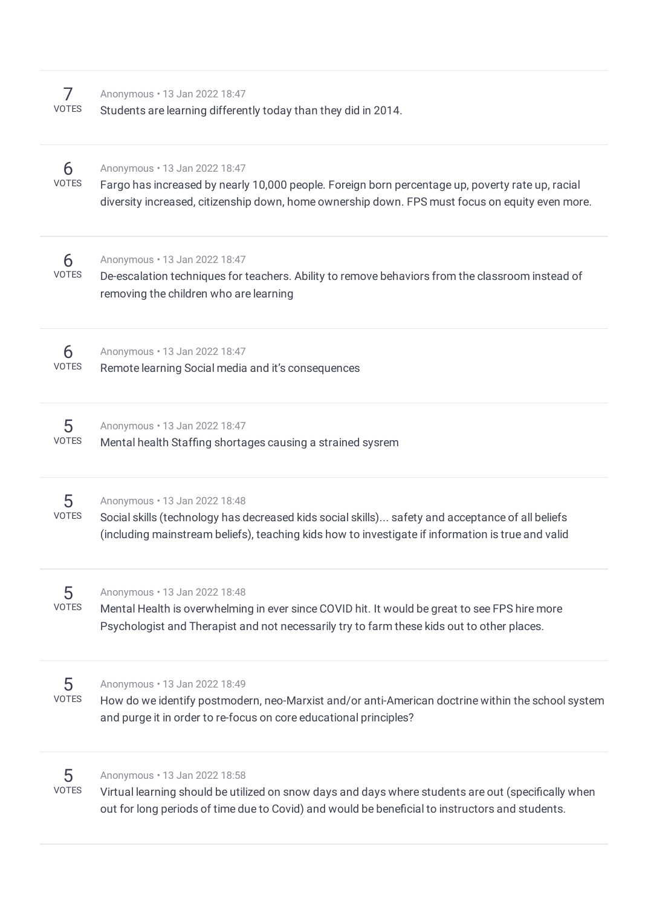| 7<br><b>VOTES</b> | Anonymous . 13 Jan 2022 18:47<br>Students are learning differently today than they did in 2014.                                                                                                                                         |
|-------------------|-----------------------------------------------------------------------------------------------------------------------------------------------------------------------------------------------------------------------------------------|
| 6<br>VOTES        | Anonymous . 13 Jan 2022 18:47<br>Fargo has increased by nearly 10,000 people. Foreign born percentage up, poverty rate up, racial<br>diversity increased, citizenship down, home ownership down. FPS must focus on equity even more.    |
| 6<br><b>VOTES</b> | Anonymous . 13 Jan 2022 18:47<br>De-escalation techniques for teachers. Ability to remove behaviors from the classroom instead of<br>removing the children who are learning                                                             |
| 6<br><b>VOTES</b> | Anonymous . 13 Jan 2022 18:47<br>Remote learning Social media and it's consequences                                                                                                                                                     |
| 5<br>VOTES        | Anonymous . 13 Jan 2022 18:47<br>Mental health Staffing shortages causing a strained sysrem                                                                                                                                             |
| 5<br>VOTES        | Anonymous . 13 Jan 2022 18:48<br>Social skills (technology has decreased kids social skills) safety and acceptance of all beliefs<br>(including mainstream beliefs), teaching kids how to investigate if information is true and valid  |
| 5<br><b>VOTES</b> | Anonymous . 13 Jan 2022 18:48<br>Mental Health is overwhelming in ever since COVID hit. It would be great to see FPS hire more<br>Psychologist and Therapist and not necessarily try to farm these kids out to other places.            |
| 5<br><b>VOTES</b> | Anonymous . 13 Jan 2022 18:49<br>How do we identify postmodern, neo-Marxist and/or anti-American doctrine within the school system<br>and purge it in order to re-focus on core educational principles?                                 |
| 5<br><b>VOTES</b> | Anonymous . 13 Jan 2022 18:58<br>Virtual learning should be utilized on snow days and days where students are out (specifically when<br>out for long periods of time due to Covid) and would be beneficial to instructors and students. |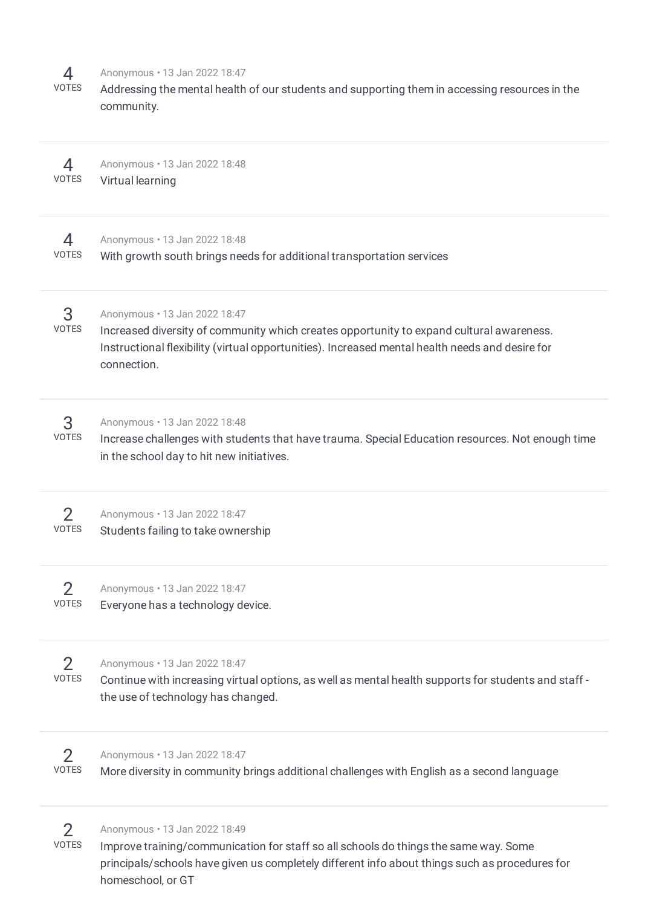| 4<br><b>VOTES</b>              | Anonymous . 13 Jan 2022 18:47<br>Addressing the mental health of our students and supporting them in accessing resources in the<br>community.                                                                                                |
|--------------------------------|----------------------------------------------------------------------------------------------------------------------------------------------------------------------------------------------------------------------------------------------|
| 4                              | Anonymous . 13 Jan 2022 18:48                                                                                                                                                                                                                |
| <b>VOTES</b>                   | Virtual learning                                                                                                                                                                                                                             |
| 4                              | Anonymous . 13 Jan 2022 18:48                                                                                                                                                                                                                |
| <b>VOTES</b>                   | With growth south brings needs for additional transportation services                                                                                                                                                                        |
| 3<br><b>VOTES</b>              | Anonymous . 13 Jan 2022 18:47<br>Increased diversity of community which creates opportunity to expand cultural awareness.<br>Instructional flexibility (virtual opportunities). Increased mental health needs and desire for<br>connection.  |
| 3<br><b>VOTES</b>              | Anonymous . 13 Jan 2022 18:48<br>Increase challenges with students that have trauma. Special Education resources. Not enough time<br>in the school day to hit new initiatives.                                                               |
| $\overline{2}$                 | Anonymous . 13 Jan 2022 18:47                                                                                                                                                                                                                |
| <b>VOTES</b>                   | Students failing to take ownership                                                                                                                                                                                                           |
| $\overline{2}$                 | Anonymous . 13 Jan 2022 18:47                                                                                                                                                                                                                |
| <b>VOTES</b>                   | Everyone has a technology device.                                                                                                                                                                                                            |
| $\overline{2}$<br><b>VOTES</b> | Anonymous . 13 Jan 2022 18:47<br>Continue with increasing virtual options, as well as mental health supports for students and staff -<br>the use of technology has changed.                                                                  |
| $\mathcal{P}$                  | Anonymous . 13 Jan 2022 18:47                                                                                                                                                                                                                |
| <b>VOTES</b>                   | More diversity in community brings additional challenges with English as a second language                                                                                                                                                   |
| $\mathcal{P}$<br><b>VOTES</b>  | Anonymous . 13 Jan 2022 18:49<br>Improve training/communication for staff so all schools do things the same way. Some<br>principals/schools have given us completely different info about things such as procedures for<br>homeschool, or GT |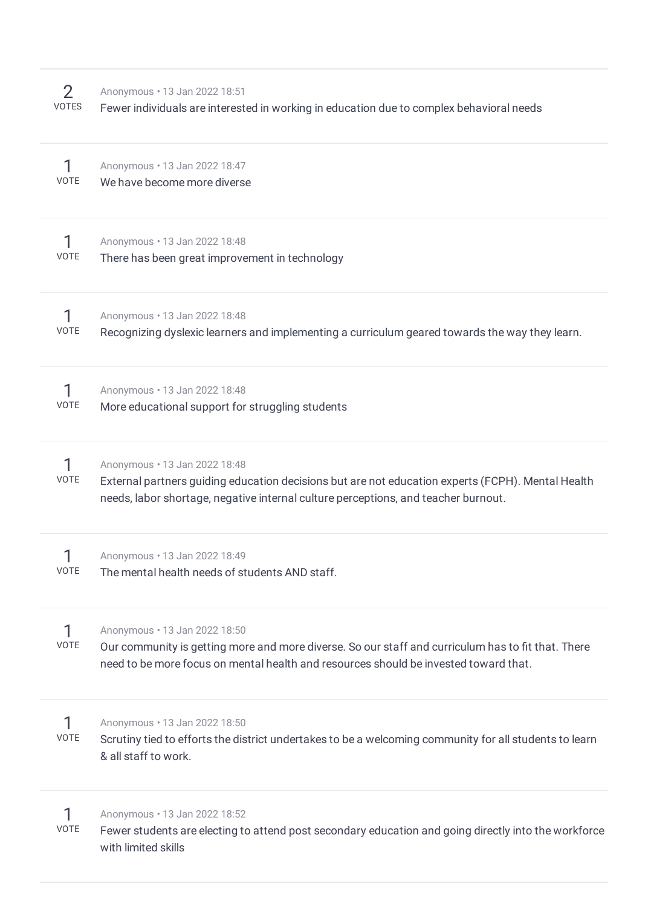|       | Anonymous . 13 Jan 2022 18:51                                                            |
|-------|------------------------------------------------------------------------------------------|
| VOTES | Fewer individuals are interested in working in education due to complex behavioral needs |

| <b>VOTE</b> | Anonymous . 13 Jan 2022 18:47<br>We have become more diverse                                                                                                                                                                |
|-------------|-----------------------------------------------------------------------------------------------------------------------------------------------------------------------------------------------------------------------------|
| <b>VOTE</b> | Anonymous . 13 Jan 2022 18:48<br>There has been great improvement in technology                                                                                                                                             |
| <b>VOTE</b> | Anonymous . 13 Jan 2022 18:48<br>Recognizing dyslexic learners and implementing a curriculum geared towards the way they learn.                                                                                             |
| <b>VOTE</b> | Anonymous . 13 Jan 2022 18:48<br>More educational support for struggling students                                                                                                                                           |
| <b>VOTE</b> | Anonymous . 13 Jan 2022 18:48<br>External partners guiding education decisions but are not education experts (FCPH). Mental Health<br>needs, labor shortage, negative internal culture perceptions, and teacher burnout.    |
| <b>VOTE</b> | Anonymous . 13 Jan 2022 18:49<br>The mental health needs of students AND staff.                                                                                                                                             |
| <b>VOTE</b> | Anonymous . 13 Jan 2022 18:50<br>Our community is getting more and more diverse. So our staff and curriculum has to fit that. There<br>need to be more focus on mental health and resources should be invested toward that. |
| <b>VOTE</b> | Anonymous . 13 Jan 2022 18:50<br>Scrutiny tied to efforts the district undertakes to be a welcoming community for all students to learn<br>& all staff to work.                                                             |
| VOTE        | Anonymous . 13 Jan 2022 18:52<br>Fewer students are electing to attend post secondary education and going directly into the workforce<br>with limited skills                                                                |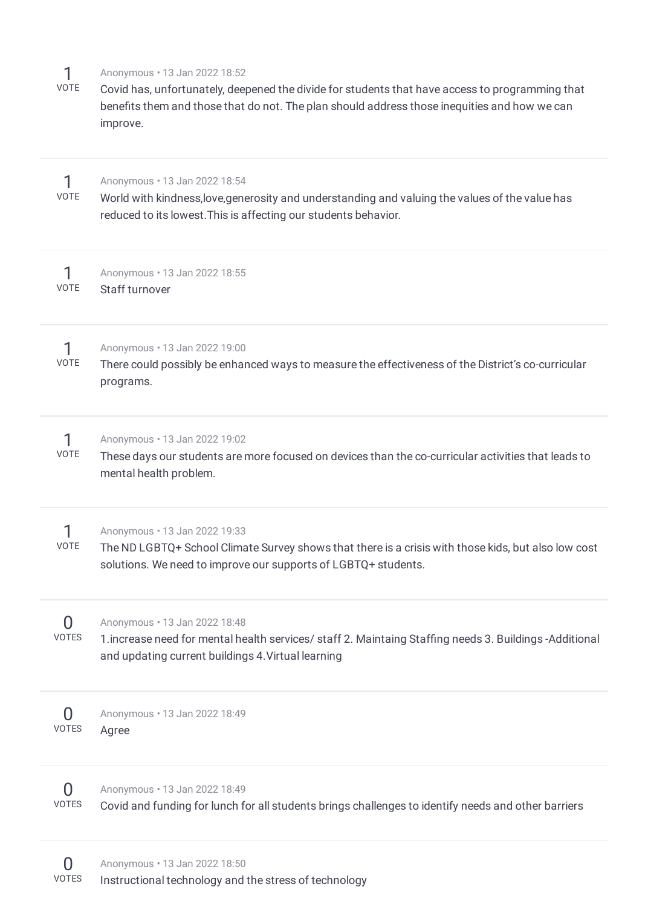| 1<br><b>VOTE</b>         | Anonymous . 13 Jan 2022 18:52<br>Covid has, unfortunately, deepened the divide for students that have access to programming that<br>benefits them and those that do not. The plan should address those inequities and how we can<br>improve. |
|--------------------------|----------------------------------------------------------------------------------------------------------------------------------------------------------------------------------------------------------------------------------------------|
| 1<br><b>VOTE</b>         | Anonymous . 13 Jan 2022 18:54<br>World with kindness, love, generosity and understanding and valuing the values of the value has<br>reduced to its lowest. This is affecting our students behavior.                                          |
| 1<br>VOTE                | Anonymous . 13 Jan 2022 18:55<br>Staff turnover                                                                                                                                                                                              |
| 1<br>VOTE                | Anonymous . 13 Jan 2022 19:00<br>There could possibly be enhanced ways to measure the effectiveness of the District's co-curricular<br>programs.                                                                                             |
| 1<br><b>VOTE</b>         | Anonymous . 13 Jan 2022 19:02<br>These days our students are more focused on devices than the co-curricular activities that leads to<br>mental health problem.                                                                               |
| <b>VOTE</b>              | Anonymous . 13 Jan 2022 19:33<br>The ND LGBTQ+ School Climate Survey shows that there is a crisis with those kids, but also low cost<br>solutions. We need to improve our supports of LGBTQ+ students.                                       |
| 0<br><b>VOTES</b>        | Anonymous . 13 Jan 2022 18:48<br>1. increase need for mental health services/ staff 2. Maintaing Staffing needs 3. Buildings - Additional<br>and updating current buildings 4. Virtual learning                                              |
| O<br><b>VOTES</b>        | Anonymous . 13 Jan 2022 18:49<br>Agree                                                                                                                                                                                                       |
| $\Omega$<br><b>VOTES</b> | Anonymous . 13 Jan 2022 18:49<br>Covid and funding for lunch for all students brings challenges to identify needs and other barriers                                                                                                         |
| $\Omega$                 | Anonymous . 13 Jan 2022 18:50                                                                                                                                                                                                                |

Instructional technology and the stress of technology VOTES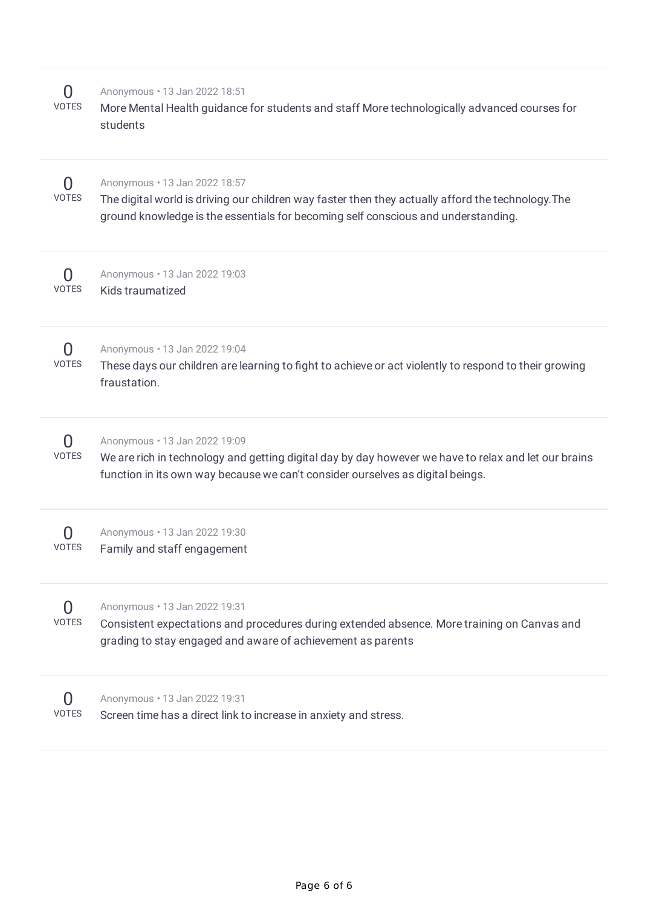| O<br><b>VOTES</b>                | Anonymous . 13 Jan 2022 18:51<br>More Mental Health guidance for students and staff More technologically advanced courses for<br>students                                                                                |
|----------------------------------|--------------------------------------------------------------------------------------------------------------------------------------------------------------------------------------------------------------------------|
| O<br><b>VOTES</b>                | Anonymous . 13 Jan 2022 18:57<br>The digital world is driving our children way faster then they actually afford the technology. The<br>ground knowledge is the essentials for becoming self conscious and understanding. |
| O<br><b>VOTES</b>                | Anonymous . 13 Jan 2022 19:03<br>Kids traumatized                                                                                                                                                                        |
| O<br><b>VOTES</b>                | Anonymous . 13 Jan 2022 19:04<br>These days our children are learning to fight to achieve or act violently to respond to their growing<br>fraustation.                                                                   |
| O<br><b>VOTES</b>                | Anonymous . 13 Jan 2022 19:09<br>We are rich in technology and getting digital day by day however we have to relax and let our brains<br>function in its own way because we can't consider ourselves as digital beings.  |
| 0<br><b>VOTES</b>                | Anonymous . 13 Jan 2022 19:30<br>Family and staff engagement                                                                                                                                                             |
| $\left( \right)$<br><b>VOTES</b> | Anonymous . 13 Jan 2022 19:31<br>Consistent expectations and procedures during extended absence. More training on Canvas and<br>grading to stay engaged and aware of achievement as parents                              |
| VOTES                            | Anonymous . 13 Jan 2022 19:31<br>Screen time has a direct link to increase in anxiety and stress.                                                                                                                        |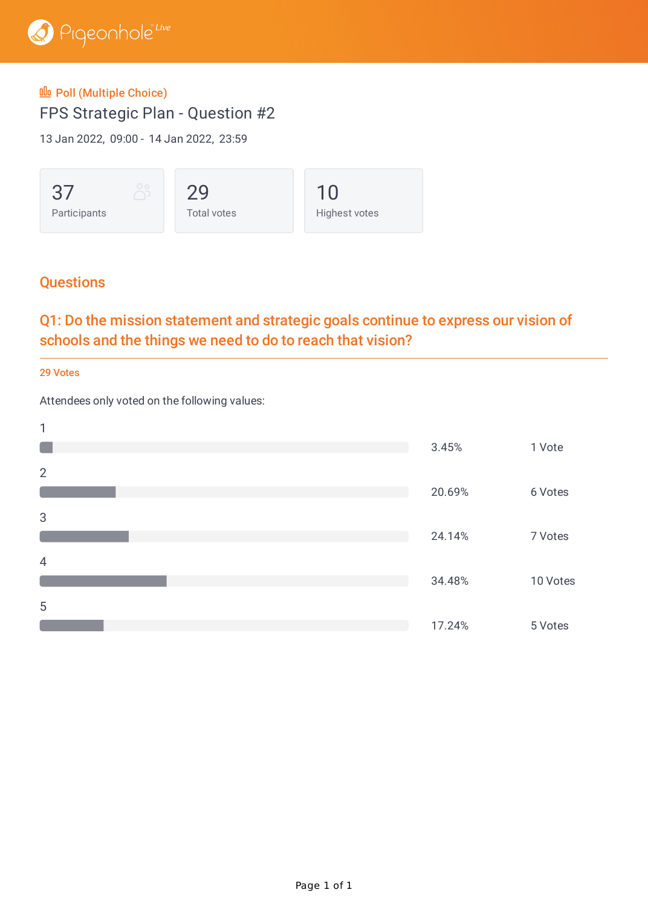

#### **OD** Poll (Multiple Choice)

FPS Strategic Plan - Question #2

13 Jan 2022, 09:00 - 14 Jan 2022, 23:59



## **Questions**

# Q1: Do the mission statement and strategic goals continue to express our vision of schools and the things we need to do to reach that vision?

29 Votes

Attendees only voted on the following values:

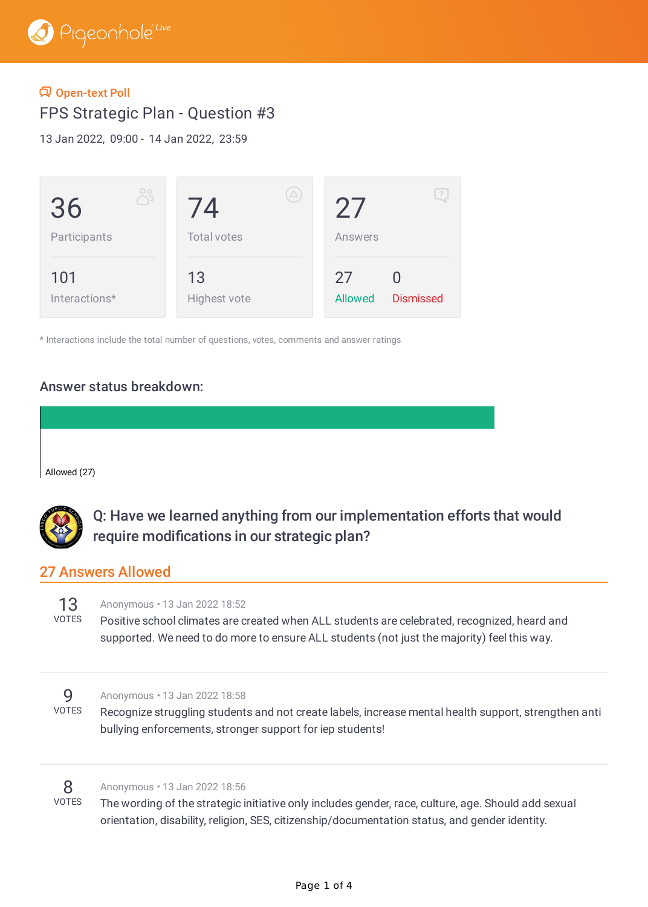#### Open-text Poll

FPS Strategic Plan - Question #3

13 Jan 2022, 09:00 - 14 Jan 2022, 23:59



\* Interactions include the total number of questions, votes, comments and answer ratings

#### Answer status breakdown:

Allowed (27)



Q: Have we learned anything from our implementation efforts that would require modifications in our strategic plan?

#### 27 Answers Allowed

13 Anonymous • 13 Jan 2022 18:52

VOTES Positive school climates are created when ALL students are celebrated, recognized, heard and supported. We need to do more to ensure ALL students (not just the majority) feel this way.

#### 9 Anonymous • 13 Jan 2022 18:58

VOTES Recognize struggling students and not create labels, increase mental health support, strengthen anti bullying enforcements, stronger support for iep students!

#### 8 Anonymous • 13 Jan 2022 18:56

VOTES The wording of the strategic initiative only includes gender, race, culture, age. Should add sexual orientation, disability, religion, SES, citizenship/documentation status, and gender identity.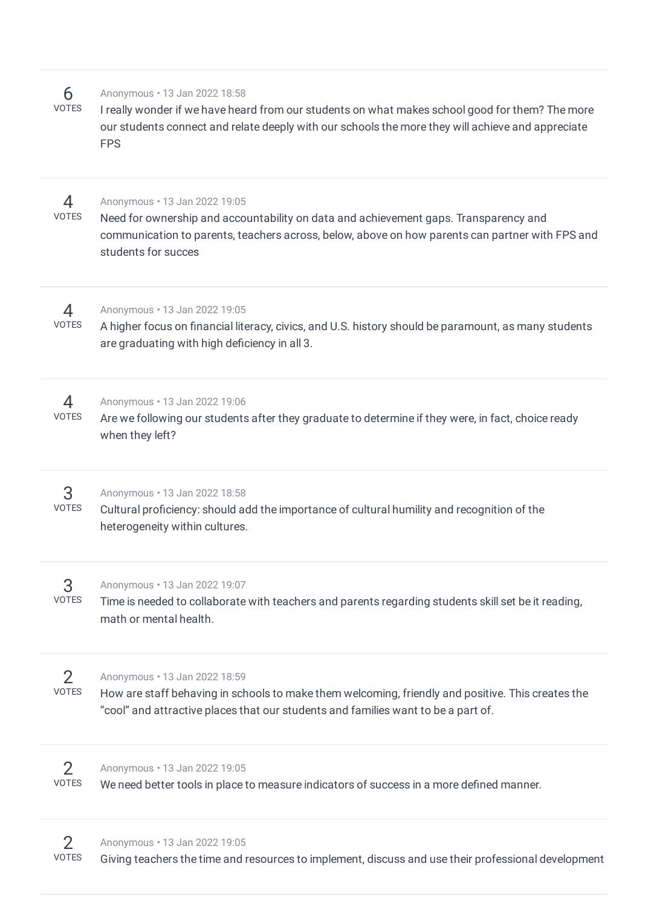| 6<br><b>VOTES</b>              | Anonymous . 13 Jan 2022 18:58<br>I really wonder if we have heard from our students on what makes school good for them? The more<br>our students connect and relate deeply with our schools the more they will achieve and appreciate<br><b>FPS</b> |
|--------------------------------|-----------------------------------------------------------------------------------------------------------------------------------------------------------------------------------------------------------------------------------------------------|
| 4<br><b>VOTES</b>              | Anonymous . 13 Jan 2022 19:05<br>Need for ownership and accountability on data and achievement gaps. Transparency and<br>communication to parents, teachers across, below, above on how parents can partner with FPS and<br>students for succes     |
| 4<br><b>VOTES</b>              | Anonymous . 13 Jan 2022 19:05<br>A higher focus on financial literacy, civics, and U.S. history should be paramount, as many students<br>are graduating with high deficiency in all 3.                                                              |
| 4<br><b>VOTES</b>              | Anonymous . 13 Jan 2022 19:06<br>Are we following our students after they graduate to determine if they were, in fact, choice ready<br>when they left?                                                                                              |
| 3<br><b>VOTES</b>              | Anonymous . 13 Jan 2022 18:58<br>Cultural proficiency: should add the importance of cultural humility and recognition of the<br>heterogeneity within cultures.                                                                                      |
| 3<br><b>VOTES</b>              | Anonymous . 13 Jan 2022 19:07<br>Time is needed to collaborate with teachers and parents regarding students skill set be it reading,<br>math or mental health.                                                                                      |
| $\overline{2}$<br><b>VOTES</b> | Anonymous . 13 Jan 2022 18:59<br>How are staff behaving in schools to make them welcoming, friendly and positive. This creates the<br>"cool" and attractive places that our students and families want to be a part of.                             |
| $\overline{2}$<br><b>VOTES</b> | Anonymous . 13 Jan 2022 19:05<br>We need better tools in place to measure indicators of success in a more defined manner.                                                                                                                           |
|                                |                                                                                                                                                                                                                                                     |

#### Anonymous • 13 Jan 2022 19:05

2

VOTES Giving teachers the time and resources to implement, discuss and use their professional development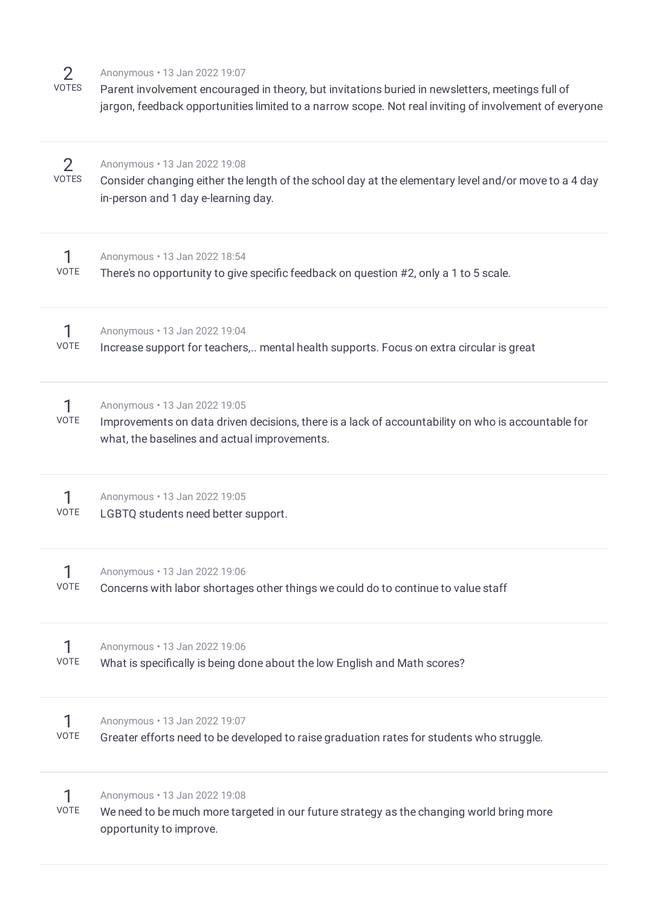2 VOTES

#### Anonymous • 13 Jan 2022 19:07

Parent involvement encouraged in theory, but invitations buried in newsletters, meetings full of jargon, feedback opportunities limited to a narrow scope. Not real inviting of involvement of everyone

| 2<br><b>VOTES</b> | Anonymous . 13 Jan 2022 19:08<br>Consider changing either the length of the school day at the elementary level and/or move to a 4 day<br>in-person and 1 day e-learning day.        |
|-------------------|-------------------------------------------------------------------------------------------------------------------------------------------------------------------------------------|
| <b>VOTE</b>       | Anonymous . 13 Jan 2022 18:54<br>There's no opportunity to give specific feedback on question #2, only a 1 to 5 scale.                                                              |
| 1<br>VOTE         | Anonymous . 13 Jan 2022 19:04<br>Increase support for teachers, mental health supports. Focus on extra circular is great                                                            |
| 1<br>VOTE         | Anonymous . 13 Jan 2022 19:05<br>Improvements on data driven decisions, there is a lack of accountability on who is accountable for<br>what, the baselines and actual improvements. |
| 1<br>VOTE         | Anonymous . 13 Jan 2022 19:05<br>LGBTQ students need better support.                                                                                                                |
| 1<br>VOTE         | Anonymous . 13 Jan 2022 19:06<br>Concerns with labor shortages other things we could do to continue to value staff                                                                  |
| VOTE              | Anonymous . 13 Jan 2022 19:06<br>What is specifically is being done about the low English and Math scores?                                                                          |
| VOTE              | Anonymous . 13 Jan 2022 19:07<br>Greater efforts need to be developed to raise graduation rates for students who struggle.                                                          |
| VOTE              | Anonymous . 13 Jan 2022 19:08<br>We need to be much more targeted in our future strategy as the changing world bring more<br>opportunity to improve.                                |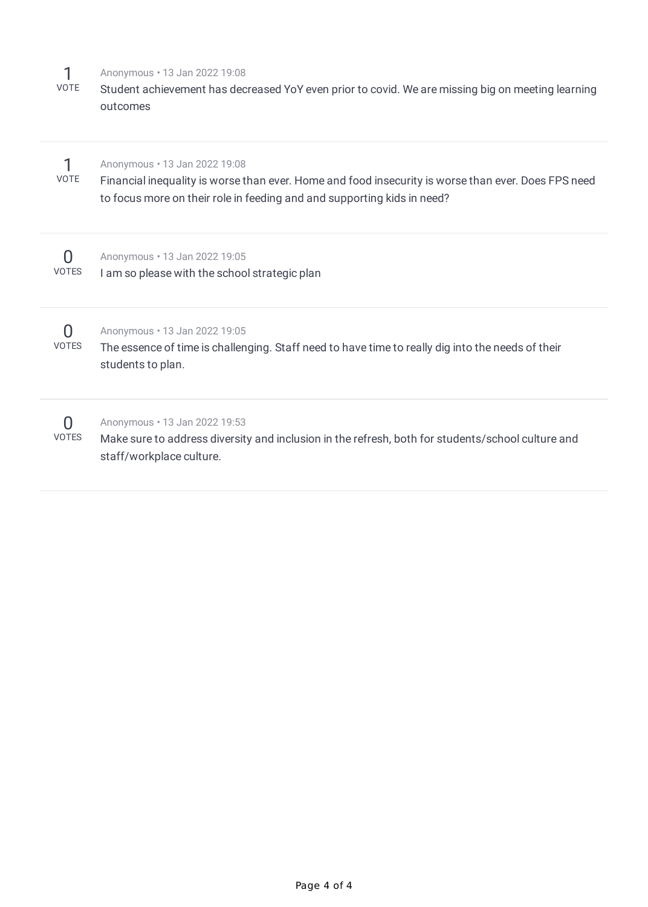| <b>VOTE</b>                      | Anonymous . 13 Jan 2022 19:08<br>Student achievement has decreased YoY even prior to covid. We are missing big on meeting learning<br>outcomes                                                                  |
|----------------------------------|-----------------------------------------------------------------------------------------------------------------------------------------------------------------------------------------------------------------|
| <b>VOTE</b>                      | Anonymous . 13 Jan 2022 19:08<br>Financial inequality is worse than ever. Home and food insecurity is worse than ever. Does FPS need<br>to focus more on their role in feeding and and supporting kids in need? |
| $\left( \right)$<br><b>VOTES</b> | Anonymous . 13 Jan 2022 19:05<br>I am so please with the school strategic plan                                                                                                                                  |
| $\left( \right)$<br><b>VOTES</b> | Anonymous . 13 Jan 2022 19:05<br>The essence of time is challenging. Staff need to have time to really dig into the needs of their<br>students to plan.                                                         |
| <b>VOTES</b>                     | Anonymous . 13 Jan 2022 19:53<br>Make sure to address diversity and inclusion in the refresh, both for students/school culture and<br>staff/workplace culture.                                                  |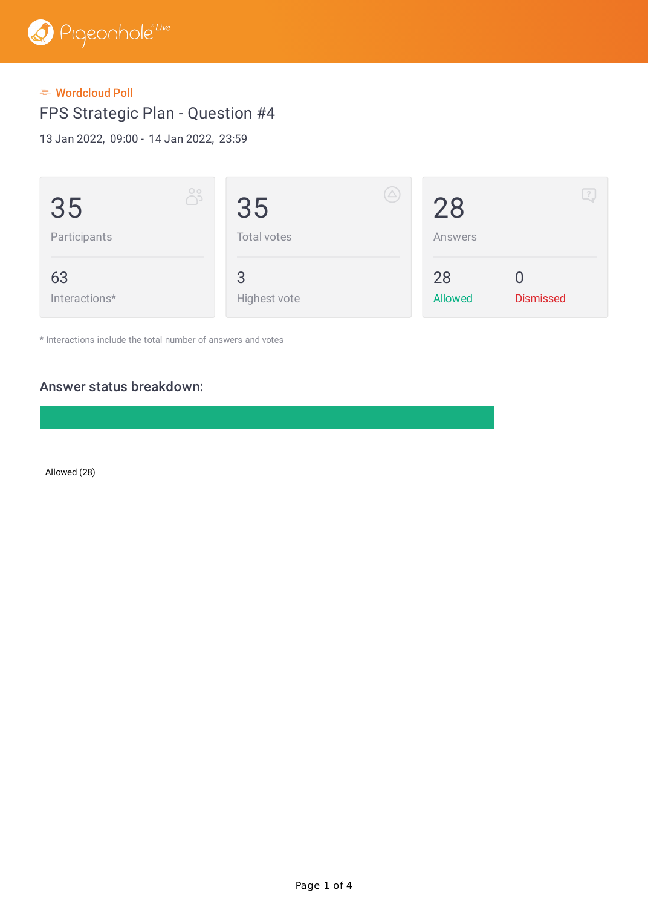#### Wordcloud Poll

FPS Strategic Plan - Question #4

13 Jan 2022, 09:00 - 14 Jan 2022, 23:59

| $\circ$<br>دل<br>35<br>Participants | $(\triangle)$<br>35<br>Total votes | Ŀ,<br>28<br>Answers               |
|-------------------------------------|------------------------------------|-----------------------------------|
| 63<br>Interactions*                 | 3<br>Highest vote                  | 28<br><b>Dismissed</b><br>Allowed |

\* Interactions include the total number of answers and votes

#### Answer status breakdown:

Allowed (28)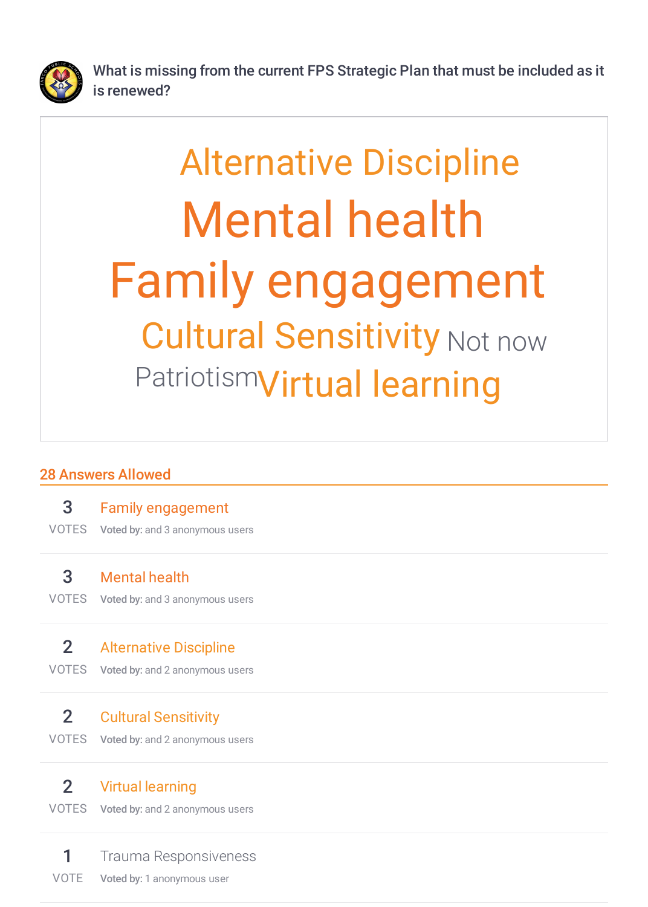

What is missing from the current FPS Strategic Plan that must be included as it is renewed?

# Family engagement Mental health Cultural Sensitivity Not now PatriotismVirtual learning Alternative Discipline

# 28 Answers Allowed

| 3              | <b>Family engagement</b>                            |
|----------------|-----------------------------------------------------|
| <b>VOTES</b>   | Voted by: and 3 anonymous users                     |
| 3              | <b>Mental health</b>                                |
| <b>VOTES</b>   | Voted by: and 3 anonymous users                     |
| 2 <sup>1</sup> | <b>Alternative Discipline</b>                       |
| <b>VOTES</b>   | Voted by: and 2 anonymous users                     |
| 2 <sup>1</sup> | <b>Cultural Sensitivity</b>                         |
| <b>VOTES</b>   | Voted by: and 2 anonymous users                     |
| 2 <sup>1</sup> | <b>Virtual learning</b>                             |
| <b>VOTES</b>   | Voted by: and 2 anonymous users                     |
| <b>VOTE</b>    | Trauma Responsiveness<br>Voted by: 1 anonymous user |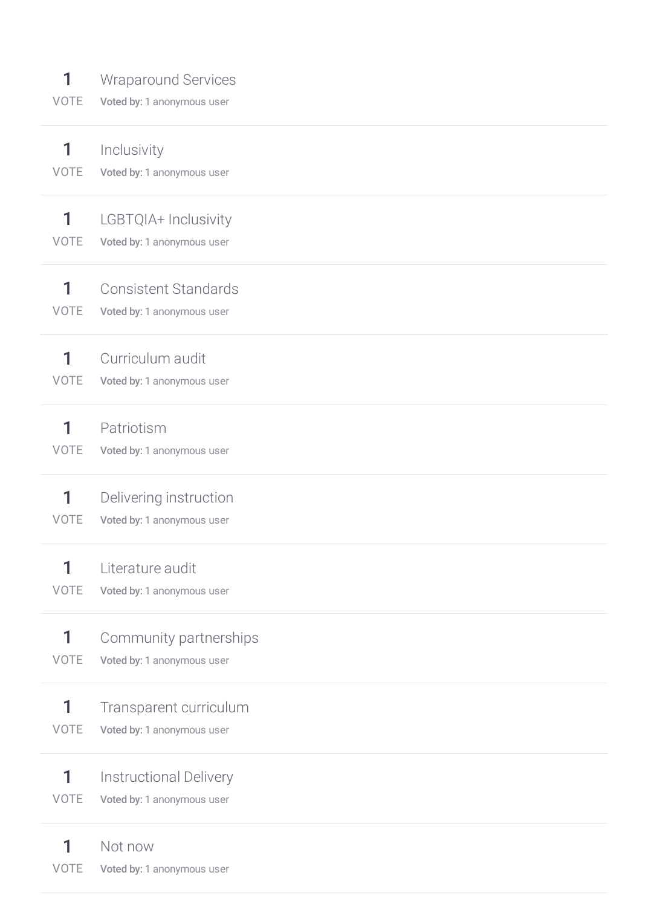| 1           | <b>Wraparound Services</b>    |
|-------------|-------------------------------|
| VOTE        | Voted by: 1 anonymous user    |
| 1           | Inclusivity                   |
| <b>VOTE</b> | Voted by: 1 anonymous user    |
| 1           | LGBTQIA+ Inclusivity          |
| <b>VOTE</b> | Voted by: 1 anonymous user    |
| 1           | <b>Consistent Standards</b>   |
| <b>VOTE</b> | Voted by: 1 anonymous user    |
| 1           | Curriculum audit              |
| <b>VOTE</b> | Voted by: 1 anonymous user    |
| 1           | Patriotism                    |
| <b>VOTE</b> | Voted by: 1 anonymous user    |
| 1           | Delivering instruction        |
| <b>VOTE</b> | Voted by: 1 anonymous user    |
| 1           | Literature audit              |
| <b>VOTE</b> | Voted by: 1 anonymous user    |
| 1           | Community partnerships        |
| <b>VOTE</b> | Voted by: 1 anonymous user    |
| 1           | Transparent curriculum        |
| <b>VOTE</b> | Voted by: 1 anonymous user    |
| 1           | <b>Instructional Delivery</b> |
| <b>VOTE</b> | Voted by: 1 anonymous user    |
| 1           | Not now                       |
| VOTE        | Voted by: 1 anonymous user    |